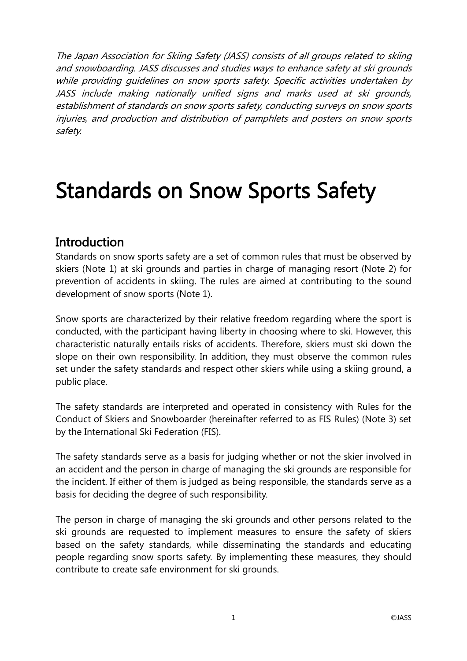The Japan Association for Skiing Safety (JASS) consists of all groups related to skiing and snowboarding. JASS discusses and studies ways to enhance safety at ski grounds while providing quidelines on snow sports safety. Specific activities undertaken by JASS include making nationally unified signs and marks used at ski grounds, establishment of standards on snow sports safety, conducting surveys on snow sports injuries, and production and distribution of pamphlets and posters on snow sports safety.

# Standards on Snow Sports Safety

# Introduction

Standards on snow sports safety are a set of common rules that must be observed by skiers (Note 1) at ski grounds and parties in charge of managing resort (Note 2) for prevention of accidents in skiing. The rules are aimed at contributing to the sound development of snow sports (Note 1).

Snow sports are characterized by their relative freedom regarding where the sport is conducted, with the participant having liberty in choosing where to ski. However, this characteristic naturally entails risks of accidents. Therefore, skiers must ski down the slope on their own responsibility. In addition, they must observe the common rules set under the safety standards and respect other skiers while using a skiing ground, a public place.

The safety standards are interpreted and operated in consistency with Rules for the Conduct of Skiers and Snowboarder (hereinafter referred to as FIS Rules) (Note 3) set by the International Ski Federation (FIS).

The safety standards serve as a basis for judging whether or not the skier involved in an accident and the person in charge of managing the ski grounds are responsible for the incident. If either of them is judged as being responsible, the standards serve as a basis for deciding the degree of such responsibility.

The person in charge of managing the ski grounds and other persons related to the ski grounds are requested to implement measures to ensure the safety of skiers based on the safety standards, while disseminating the standards and educating people regarding snow sports safety. By implementing these measures, they should contribute to create safe environment for ski grounds.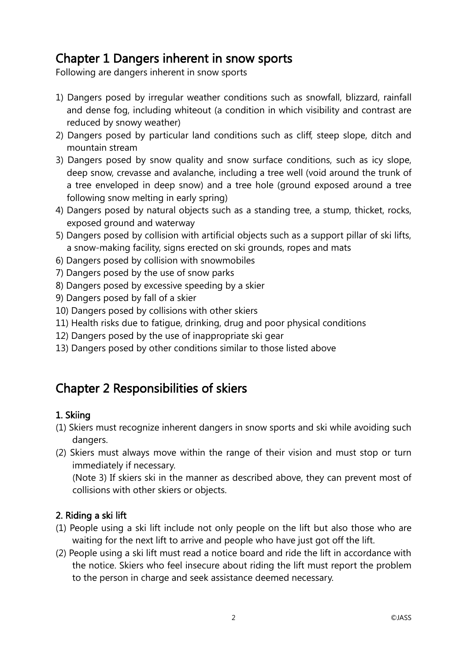# Chapter 1 Dangers inherent in snow sports

Following are dangers inherent in snow sports

- 1) Dangers posed by irregular weather conditions such as snowfall, blizzard, rainfall and dense fog, including whiteout (a condition in which visibility and contrast are reduced by snowy weather)
- 2) Dangers posed by particular land conditions such as cliff, steep slope, ditch and mountain stream
- 3) Dangers posed by snow quality and snow surface conditions, such as icy slope, deep snow, crevasse and avalanche, including a tree well (void around the trunk of a tree enveloped in deep snow) and a tree hole (ground exposed around a tree following snow melting in early spring)
- 4) Dangers posed by natural objects such as a standing tree, a stump, thicket, rocks, exposed ground and waterway
- 5) Dangers posed by collision with artificial objects such as a support pillar of ski lifts, a snow-making facility, signs erected on ski grounds, ropes and mats
- 6) Dangers posed by collision with snowmobiles
- 7) Dangers posed by the use of snow parks
- 8) Dangers posed by excessive speeding by a skier
- 9) Dangers posed by fall of a skier
- 10) Dangers posed by collisions with other skiers
- 11) Health risks due to fatigue, drinking, drug and poor physical conditions
- 12) Dangers posed by the use of inappropriate ski gear
- 13) Dangers posed by other conditions similar to those listed above

# Chapter 2 Responsibilities of skiers

# 1. Skiing

- (1) Skiers must recognize inherent dangers in snow sports and ski while avoiding such dangers.
- (2) Skiers must always move within the range of their vision and must stop or turn immediately if necessary.

(Note 3) If skiers ski in the manner as described above, they can prevent most of collisions with other skiers or objects.

# 2. Riding a ski lift

- (1) People using a ski lift include not only people on the lift but also those who are waiting for the next lift to arrive and people who have just got off the lift.
- (2) People using a ski lift must read a notice board and ride the lift in accordance with the notice. Skiers who feel insecure about riding the lift must report the problem to the person in charge and seek assistance deemed necessary.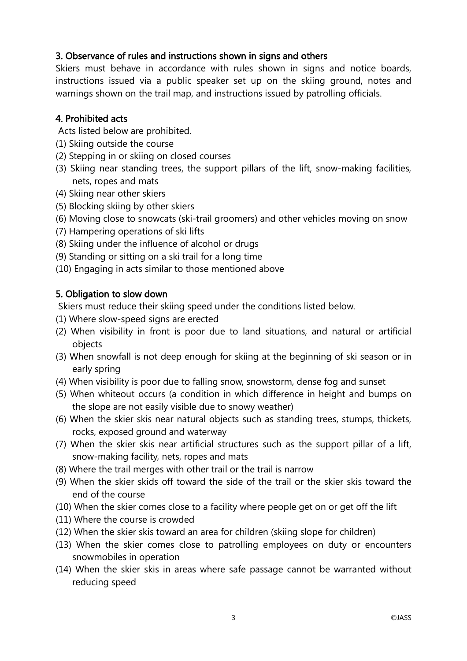### 3. Observance of rules and instructions shown in signs and others

Skiers must behave in accordance with rules shown in signs and notice boards, instructions issued via a public speaker set up on the skiing ground, notes and warnings shown on the trail map, and instructions issued by patrolling officials.

### 4. Prohibited acts

Acts listed below are prohibited.

- (1) Skiing outside the course
- (2) Stepping in or skiing on closed courses
- (3) Skiing near standing trees, the support pillars of the lift, snow-making facilities, nets, ropes and mats
- (4) Skiing near other skiers
- (5) Blocking skiing by other skiers
- (6) Moving close to snowcats (ski-trail groomers) and other vehicles moving on snow
- (7) Hampering operations of ski lifts
- (8) Skiing under the influence of alcohol or drugs
- (9) Standing or sitting on a ski trail for a long time
- (10) Engaging in acts similar to those mentioned above

# 5. Obligation to slow down

Skiers must reduce their skiing speed under the conditions listed below.

- (1) Where slow-speed signs are erected
- (2) When visibility in front is poor due to land situations, and natural or artificial objects
- (3) When snowfall is not deep enough for skiing at the beginning of ski season or in early spring
- (4) When visibility is poor due to falling snow, snowstorm, dense fog and sunset
- (5) When whiteout occurs (a condition in which difference in height and bumps on the slope are not easily visible due to snowy weather)
- (6) When the skier skis near natural objects such as standing trees, stumps, thickets, rocks, exposed ground and waterway
- (7) When the skier skis near artificial structures such as the support pillar of a lift, snow-making facility, nets, ropes and mats
- (8) Where the trail merges with other trail or the trail is narrow
- (9) When the skier skids off toward the side of the trail or the skier skis toward the end of the course
- (10) When the skier comes close to a facility where people get on or get off the lift
- (11) Where the course is crowded
- (12) When the skier skis toward an area for children (skiing slope for children)
- (13) When the skier comes close to patrolling employees on duty or encounters snowmobiles in operation
- (14) When the skier skis in areas where safe passage cannot be warranted without reducing speed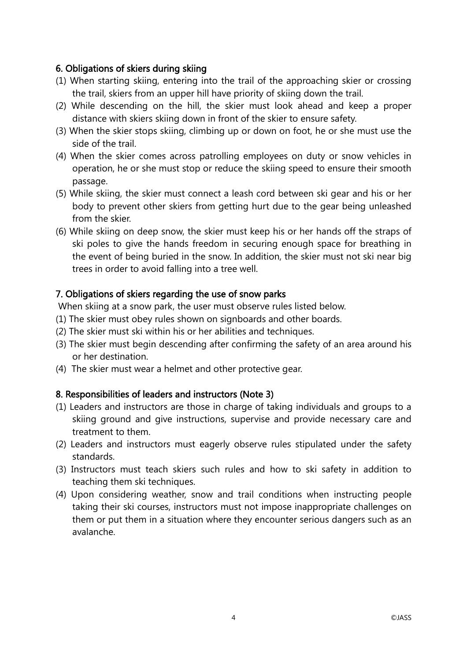# 6. Obligations of skiers during skiing

- (1) When starting skiing, entering into the trail of the approaching skier or crossing the trail, skiers from an upper hill have priority of skiing down the trail.
- (2) While descending on the hill, the skier must look ahead and keep a proper distance with skiers skiing down in front of the skier to ensure safety.
- (3) When the skier stops skiing, climbing up or down on foot, he or she must use the side of the trail.
- (4) When the skier comes across patrolling employees on duty or snow vehicles in operation, he or she must stop or reduce the skiing speed to ensure their smooth passage.
- (5) While skiing, the skier must connect a leash cord between ski gear and his or her body to prevent other skiers from getting hurt due to the gear being unleashed from the skier.
- (6) While skiing on deep snow, the skier must keep his or her hands off the straps of ski poles to give the hands freedom in securing enough space for breathing in the event of being buried in the snow. In addition, the skier must not ski near big trees in order to avoid falling into a tree well.

### 7. Obligations of skiers regarding the use of snow parks

When skiing at a snow park, the user must observe rules listed below.

- (1) The skier must obey rules shown on signboards and other boards.
- (2) The skier must ski within his or her abilities and techniques.
- (3) The skier must begin descending after confirming the safety of an area around his or her destination.
- (4) The skier must wear a helmet and other protective gear.

# 8. Responsibilities of leaders and instructors (Note 3)

- (1) Leaders and instructors are those in charge of taking individuals and groups to a skiing ground and give instructions, supervise and provide necessary care and treatment to them.
- (2) Leaders and instructors must eagerly observe rules stipulated under the safety standards.
- (3) Instructors must teach skiers such rules and how to ski safety in addition to teaching them ski techniques.
- (4) Upon considering weather, snow and trail conditions when instructing people taking their ski courses, instructors must not impose inappropriate challenges on them or put them in a situation where they encounter serious dangers such as an avalanche.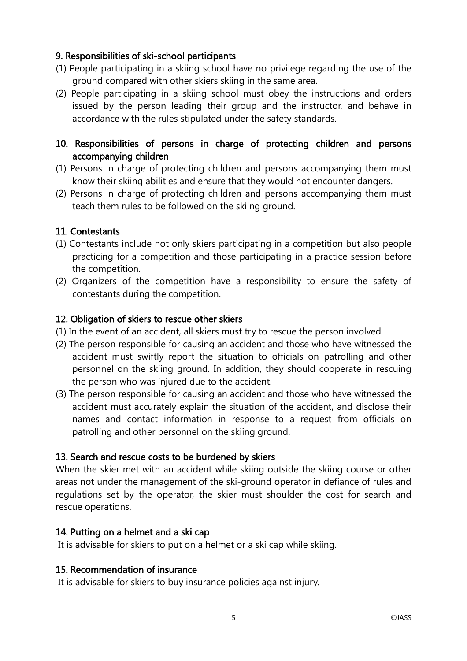### 9. Responsibilities of ski-school participants

- (1) People participating in a skiing school have no privilege regarding the use of the ground compared with other skiers skiing in the same area.
- (2) People participating in a skiing school must obey the instructions and orders issued by the person leading their group and the instructor, and behave in accordance with the rules stipulated under the safety standards.

# 10. Responsibilities of persons in charge of protecting children and persons accompanying children

- (1) Persons in charge of protecting children and persons accompanying them must know their skiing abilities and ensure that they would not encounter dangers.
- (2) Persons in charge of protecting children and persons accompanying them must teach them rules to be followed on the skiing ground.

### 11. Contestants

- (1) Contestants include not only skiers participating in a competition but also people practicing for a competition and those participating in a practice session before the competition.
- (2) Organizers of the competition have a responsibility to ensure the safety of contestants during the competition.

### 12. Obligation of skiers to rescue other skiers

- (1) In the event of an accident, all skiers must try to rescue the person involved.
- (2) The person responsible for causing an accident and those who have witnessed the accident must swiftly report the situation to officials on patrolling and other personnel on the skiing ground. In addition, they should cooperate in rescuing the person who was injured due to the accident.
- (3) The person responsible for causing an accident and those who have witnessed the accident must accurately explain the situation of the accident, and disclose their names and contact information in response to a request from officials on patrolling and other personnel on the skiing ground.

# 13. Search and rescue costs to be burdened by skiers

When the skier met with an accident while skiing outside the skiing course or other areas not under the management of the ski-ground operator in defiance of rules and regulations set by the operator, the skier must shoulder the cost for search and rescue operations.

### 14. Putting on a helmet and a ski cap

It is advisable for skiers to put on a helmet or a ski cap while skiing.

### 15. Recommendation of insurance

It is advisable for skiers to buy insurance policies against injury.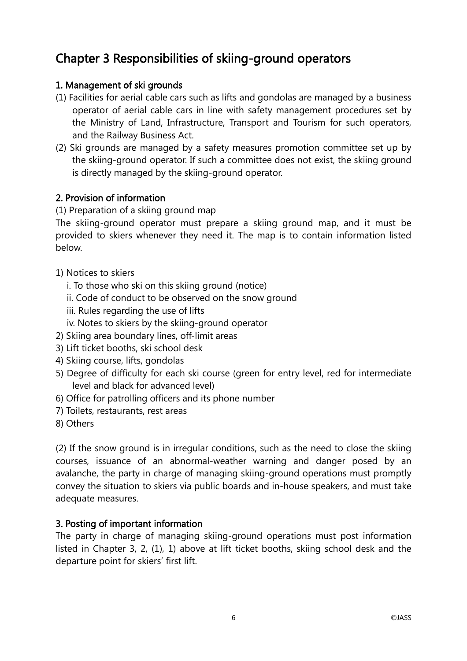# Chapter 3 Responsibilities of skiing-ground operators

### 1. Management of ski grounds

- (1) Facilities for aerial cable cars such as lifts and gondolas are managed by a business operator of aerial cable cars in line with safety management procedures set by the Ministry of Land, Infrastructure, Transport and Tourism for such operators, and the Railway Business Act.
- (2) Ski grounds are managed by a safety measures promotion committee set up by the skiing-ground operator. If such a committee does not exist, the skiing ground is directly managed by the skiing-ground operator.

### 2. Provision of information

(1) Preparation of a skiing ground map

The skiing-ground operator must prepare a skiing ground map, and it must be provided to skiers whenever they need it. The map is to contain information listed below.

- 1) Notices to skiers
	- i. To those who ski on this skiing ground (notice)
	- ii. Code of conduct to be observed on the snow ground
	- iii. Rules regarding the use of lifts
	- iv. Notes to skiers by the skiing-ground operator
- 2) Skiing area boundary lines, off-limit areas
- 3) Lift ticket booths, ski school desk
- 4) Skiing course, lifts, gondolas
- 5) Degree of difficulty for each ski course (green for entry level, red for intermediate level and black for advanced level)
- 6) Office for patrolling officers and its phone number
- 7) Toilets, restaurants, rest areas
- 8) Others

(2) If the snow ground is in irregular conditions, such as the need to close the skiing courses, issuance of an abnormal-weather warning and danger posed by an avalanche, the party in charge of managing skiing-ground operations must promptly convey the situation to skiers via public boards and in-house speakers, and must take adequate measures.

# 3. Posting of important information

The party in charge of managing skiing-ground operations must post information listed in Chapter 3, 2, (1), 1) above at lift ticket booths, skiing school desk and the departure point for skiers' first lift.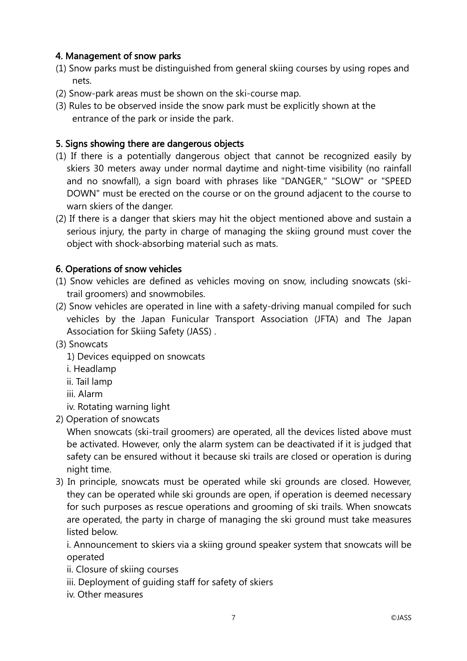# 4. Management of snow parks

- (1) Snow parks must be distinguished from general skiing courses by using ropes and nets.
- (2) Snow-park areas must be shown on the ski-course map.
- (3) Rules to be observed inside the snow park must be explicitly shown at the entrance of the park or inside the park.

# 5. Signs showing there are dangerous objects

- (1) If there is a potentially dangerous object that cannot be recognized easily by skiers 30 meters away under normal daytime and night-time visibility (no rainfall and no snowfall), a sign board with phrases like "DANGER," "SLOW" or "SPEED DOWN" must be erected on the course or on the ground adjacent to the course to warn skiers of the danger.
- (2) If there is a danger that skiers may hit the object mentioned above and sustain a serious injury, the party in charge of managing the skiing ground must cover the object with shock-absorbing material such as mats.

# 6. Operations of snow vehicles

- (1) Snow vehicles are defined as vehicles moving on snow, including snowcats (skitrail groomers) and snowmobiles.
- (2) Snow vehicles are operated in line with a safety-driving manual compiled for such vehicles by the Japan Funicular Transport Association (JFTA) and The Japan Association for Skiing Safety (JASS) .

# (3) Snowcats

- 1) Devices equipped on snowcats
- i. Headlamp
- ii. Tail lamp
- iii. Alarm
- iv. Rotating warning light
- 2) Operation of snowcats

When snowcats (ski-trail groomers) are operated, all the devices listed above must be activated. However, only the alarm system can be deactivated if it is judged that safety can be ensured without it because ski trails are closed or operation is during night time.

3) In principle, snowcats must be operated while ski grounds are closed. However, they can be operated while ski grounds are open, if operation is deemed necessary for such purposes as rescue operations and grooming of ski trails. When snowcats are operated, the party in charge of managing the ski ground must take measures listed below.

i. Announcement to skiers via a skiing ground speaker system that snowcats will be operated

ii. Closure of skiing courses

- iii. Deployment of guiding staff for safety of skiers
- iv. Other measures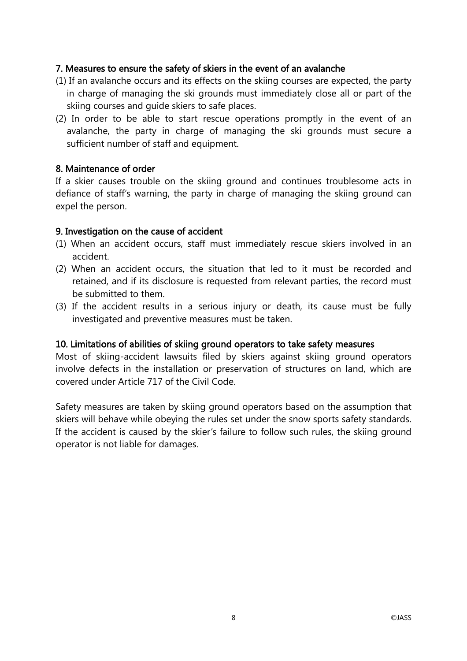### 7. Measures to ensure the safety of skiers in the event of an avalanche

- (1) If an avalanche occurs and its effects on the skiing courses are expected, the party in charge of managing the ski grounds must immediately close all or part of the skiing courses and guide skiers to safe places.
- (2) In order to be able to start rescue operations promptly in the event of an avalanche, the party in charge of managing the ski grounds must secure a sufficient number of staff and equipment.

### 8. Maintenance of order

If a skier causes trouble on the skiing ground and continues troublesome acts in defiance of staff's warning, the party in charge of managing the skiing ground can expel the person.

### 9. Investigation on the cause of accident

- (1) When an accident occurs, staff must immediately rescue skiers involved in an accident.
- (2) When an accident occurs, the situation that led to it must be recorded and retained, and if its disclosure is requested from relevant parties, the record must be submitted to them.
- (3) If the accident results in a serious injury or death, its cause must be fully investigated and preventive measures must be taken.

### 10. Limitations of abilities of skiing ground operators to take safety measures

Most of skiing-accident lawsuits filed by skiers against skiing ground operators involve defects in the installation or preservation of structures on land, which are covered under Article 717 of the Civil Code.

Safety measures are taken by skiing ground operators based on the assumption that skiers will behave while obeying the rules set under the snow sports safety standards. If the accident is caused by the skier's failure to follow such rules, the skiing ground operator is not liable for damages.